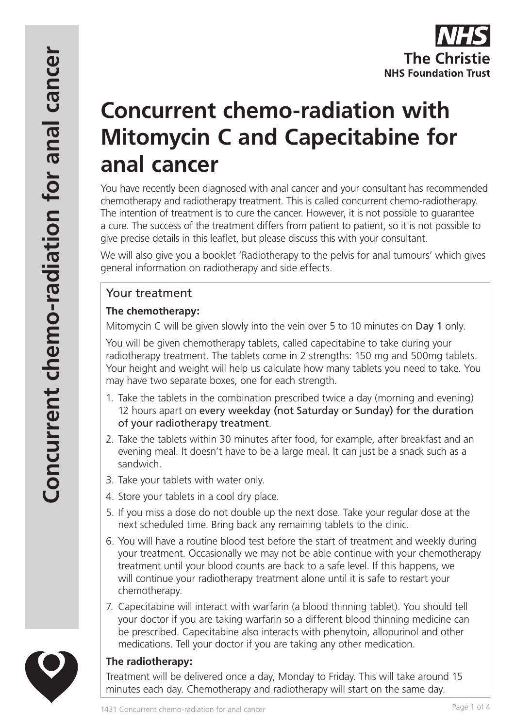# **Concurrent chemo-radiation with Mitomycin C and Capecitabine for anal cancer**

You have recently been diagnosed with anal cancer and your consultant has recommended chemotherapy and radiotherapy treatment. This is called concurrent chemo-radiotherapy. The intention of treatment is to cure the cancer. However, it is not possible to guarantee a cure. The success of the treatment differs from patient to patient, so it is not possible to give precise details in this leaflet, but please discuss this with your consultant.

We will also give you a booklet 'Radiotherapy to the pelvis for anal tumours' which gives general information on radiotherapy and side effects.

# Your treatment

## **The chemotherapy:**

Mitomycin C will be given slowly into the vein over 5 to 10 minutes on Day 1 only.

You will be given chemotherapy tablets, called capecitabine to take during your radiotherapy treatment. The tablets come in 2 strengths: 150 mg and 500mg tablets. Your height and weight will help us calculate how many tablets you need to take. You may have two separate boxes, one for each strength.

- 1. Take the tablets in the combination prescribed twice a day (morning and evening) 12 hours apart on every weekday (not Saturday or Sunday) for the duration of your radiotherapy treatment.
- 2. Take the tablets within 30 minutes after food, for example, after breakfast and an evening meal. It doesn't have to be a large meal. It can just be a snack such as a sandwich.
- 3. Take your tablets with water only.
- 4. Store your tablets in a cool dry place.
- 5. If you miss a dose do not double up the next dose. Take your regular dose at the next scheduled time. Bring back any remaining tablets to the clinic.
- 6. You will have a routine blood test before the start of treatment and weekly during your treatment. Occasionally we may not be able continue with your chemotherapy treatment until your blood counts are back to a safe level. If this happens, we will continue your radiotherapy treatment alone until it is safe to restart your chemotherapy.
- 7. Capecitabine will interact with warfarin (a blood thinning tablet). You should tell your doctor if you are taking warfarin so a different blood thinning medicine can be prescribed. Capecitabine also interacts with phenytoin, allopurinol and other medications. Tell your doctor if you are taking any other medication.



# **The radiotherapy:**

Treatment will be delivered once a day, Monday to Friday. This will take around 15 minutes each day. Chemotherapy and radiotherapy will start on the same day.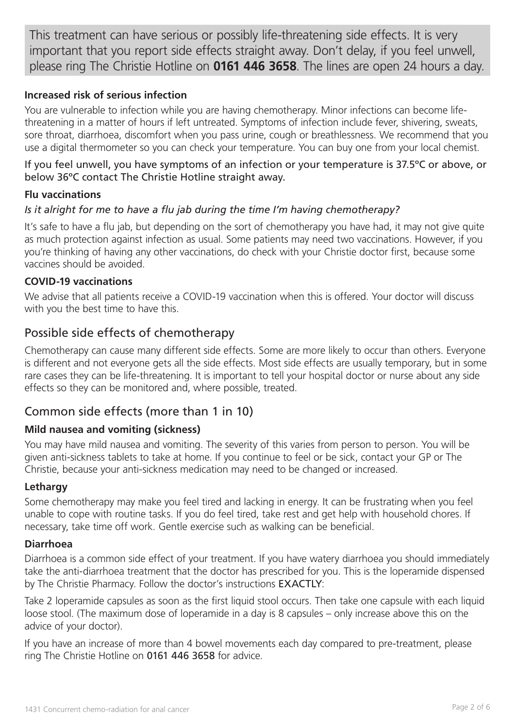This treatment can have serious or possibly life-threatening side effects. It is very important that you report side effects straight away. Don't delay, if you feel unwell, please ring The Christie Hotline on **0161 446 3658**. The lines are open 24 hours a day.

#### **Increased risk of serious infection**

You are vulnerable to infection while you are having chemotherapy. Minor infections can become lifethreatening in a matter of hours if left untreated. Symptoms of infection include fever, shivering, sweats, sore throat, diarrhoea, discomfort when you pass urine, cough or breathlessness. We recommend that you use a digital thermometer so you can check your temperature. You can buy one from your local chemist.

#### If you feel unwell, you have symptoms of an infection or your temperature is 37.5ºC or above, or below 36ºC contact The Christie Hotline straight away.

#### **Flu vaccinations**

#### *Is it alright for me to have a flu jab during the time I'm having chemotherapy?*

It's safe to have a flu jab, but depending on the sort of chemotherapy you have had, it may not give quite as much protection against infection as usual. Some patients may need two vaccinations. However, if you you're thinking of having any other vaccinations, do check with your Christie doctor first, because some vaccines should be avoided.

#### **COVID-19 vaccinations**

We advise that all patients receive a COVID-19 vaccination when this is offered. Your doctor will discuss with you the best time to have this.

# Possible side effects of chemotherapy

Chemotherapy can cause many different side effects. Some are more likely to occur than others. Everyone is different and not everyone gets all the side effects. Most side effects are usually temporary, but in some rare cases they can be life-threatening. It is important to tell your hospital doctor or nurse about any side effects so they can be monitored and, where possible, treated.

# Common side effects (more than 1 in 10)

#### **Mild nausea and vomiting (sickness)**

You may have mild nausea and vomiting. The severity of this varies from person to person. You will be given anti-sickness tablets to take at home. If you continue to feel or be sick, contact your GP or The Christie, because your anti-sickness medication may need to be changed or increased.

#### **Lethargy**

Some chemotherapy may make you feel tired and lacking in energy. It can be frustrating when you feel unable to cope with routine tasks. If you do feel tired, take rest and get help with household chores. If necessary, take time off work. Gentle exercise such as walking can be beneficial.

#### **Diarrhoea**

Diarrhoea is a common side effect of your treatment. If you have watery diarrhoea you should immediately take the anti-diarrhoea treatment that the doctor has prescribed for you. This is the loperamide dispensed by The Christie Pharmacy. Follow the doctor's instructions EXACTLY:

Take 2 loperamide capsules as soon as the first liquid stool occurs. Then take one capsule with each liquid loose stool. (The maximum dose of loperamide in a day is 8 capsules – only increase above this on the advice of your doctor).

If you have an increase of more than 4 bowel movements each day compared to pre-treatment, please ring The Christie Hotline on 0161 446 3658 for advice.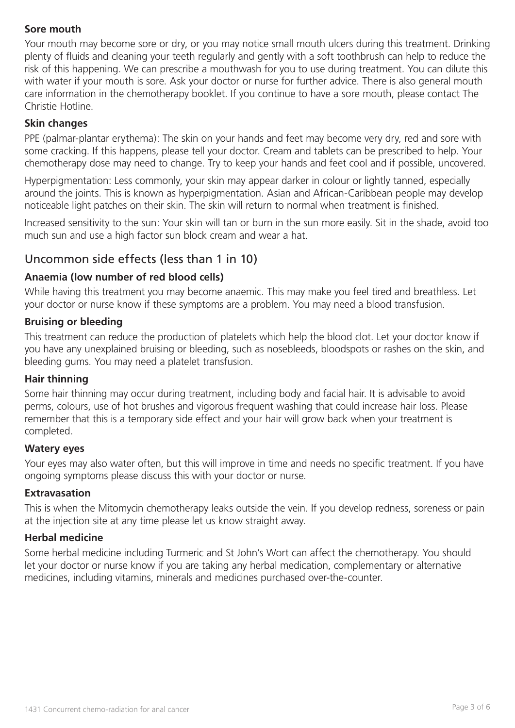## **Sore mouth**

Your mouth may become sore or dry, or you may notice small mouth ulcers during this treatment. Drinking plenty of fluids and cleaning your teeth regularly and gently with a soft toothbrush can help to reduce the risk of this happening. We can prescribe a mouthwash for you to use during treatment. You can dilute this with water if your mouth is sore. Ask your doctor or nurse for further advice. There is also general mouth care information in the chemotherapy booklet. If you continue to have a sore mouth, please contact The Christie Hotline.

#### **Skin changes**

PPE (palmar-plantar erythema): The skin on your hands and feet may become very dry, red and sore with some cracking. If this happens, please tell your doctor. Cream and tablets can be prescribed to help. Your chemotherapy dose may need to change. Try to keep your hands and feet cool and if possible, uncovered.

Hyperpigmentation: Less commonly, your skin may appear darker in colour or lightly tanned, especially around the joints. This is known as hyperpigmentation. Asian and African-Caribbean people may develop noticeable light patches on their skin. The skin will return to normal when treatment is finished.

Increased sensitivity to the sun: Your skin will tan or burn in the sun more easily. Sit in the shade, avoid too much sun and use a high factor sun block cream and wear a hat.

# Uncommon side effects (less than 1 in 10)

#### **Anaemia (low number of red blood cells)**

While having this treatment you may become anaemic. This may make you feel tired and breathless. Let your doctor or nurse know if these symptoms are a problem. You may need a blood transfusion.

#### **Bruising or bleeding**

This treatment can reduce the production of platelets which help the blood clot. Let your doctor know if you have any unexplained bruising or bleeding, such as nosebleeds, bloodspots or rashes on the skin, and bleeding gums. You may need a platelet transfusion.

#### **Hair thinning**

Some hair thinning may occur during treatment, including body and facial hair. It is advisable to avoid perms, colours, use of hot brushes and vigorous frequent washing that could increase hair loss. Please remember that this is a temporary side effect and your hair will grow back when your treatment is completed.

#### **Watery eyes**

Your eyes may also water often, but this will improve in time and needs no specific treatment. If you have ongoing symptoms please discuss this with your doctor or nurse.

#### **Extravasation**

This is when the Mitomycin chemotherapy leaks outside the vein. If you develop redness, soreness or pain at the injection site at any time please let us know straight away.

#### **Herbal medicine**

Some herbal medicine including Turmeric and St John's Wort can affect the chemotherapy. You should let your doctor or nurse know if you are taking any herbal medication, complementary or alternative medicines, including vitamins, minerals and medicines purchased over-the-counter.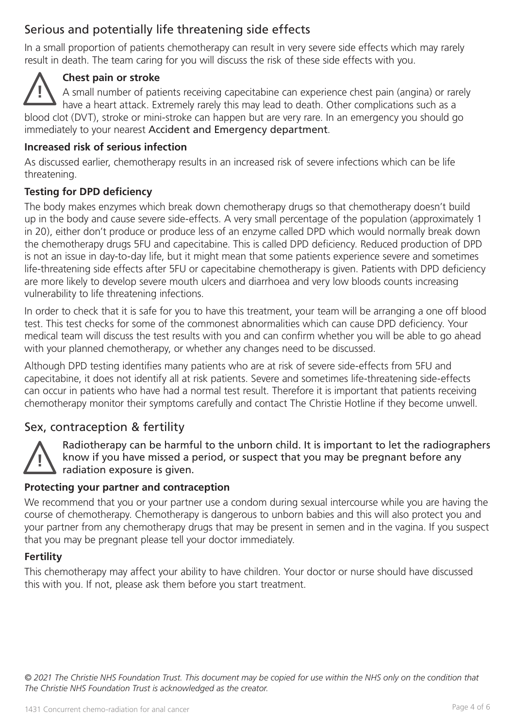# Serious and potentially life threatening side effects

In a small proportion of patients chemotherapy can result in very severe side effects which may rarely result in death. The team caring for you will discuss the risk of these side effects with you.

# **Chest pain or stroke**

**!** A small number of patients receiving capecitabine can experience chest pain (angina) or rarely have a heart attack. Extremely rarely this may lead to death. Other complications such as a blood clot (DVT), stroke or mini-stroke can happen but are very rare. In an emergency you should go immediately to your nearest Accident and Emergency department.

## **Increased risk of serious infection**

As discussed earlier, chemotherapy results in an increased risk of severe infections which can be life threatening.

## **Testing for DPD deficiency**

The body makes enzymes which break down chemotherapy drugs so that chemotherapy doesn't build up in the body and cause severe side-effects. A very small percentage of the population (approximately 1 in 20), either don't produce or produce less of an enzyme called DPD which would normally break down the chemotherapy drugs 5FU and capecitabine. This is called DPD deficiency. Reduced production of DPD is not an issue in day-to-day life, but it might mean that some patients experience severe and sometimes life-threatening side effects after 5FU or capecitabine chemotherapy is given. Patients with DPD deficiency are more likely to develop severe mouth ulcers and diarrhoea and very low bloods counts increasing vulnerability to life threatening infections.

In order to check that it is safe for you to have this treatment, your team will be arranging a one off blood test. This test checks for some of the commonest abnormalities which can cause DPD deficiency. Your medical team will discuss the test results with you and can confirm whether you will be able to go ahead with your planned chemotherapy, or whether any changes need to be discussed.

Although DPD testing identifies many patients who are at risk of severe side-effects from 5FU and capecitabine, it does not identify all at risk patients. Severe and sometimes life-threatening side-effects can occur in patients who have had a normal test result. Therefore it is important that patients receiving chemotherapy monitor their symptoms carefully and contact The Christie Hotline if they become unwell.

# Sex, contraception & fertility



Radiotherapy can be harmful to the unborn child. It is important to let the radiographers know if you have missed a period, or suspect that you may be pregnant before any radiation exposure is given.

## **Protecting your partner and contraception**

We recommend that you or your partner use a condom during sexual intercourse while you are having the course of chemotherapy. Chemotherapy is dangerous to unborn babies and this will also protect you and your partner from any chemotherapy drugs that may be present in semen and in the vagina. If you suspect that you may be pregnant please tell your doctor immediately.

#### **Fertility**

This chemotherapy may affect your ability to have children. Your doctor or nurse should have discussed this with you. If not, please ask them before you start treatment.

*© 2021 The Christie NHS Foundation Trust. This document may be copied for use within the NHS only on the condition that The Christie NHS Foundation Trust is acknowledged as the creator.*